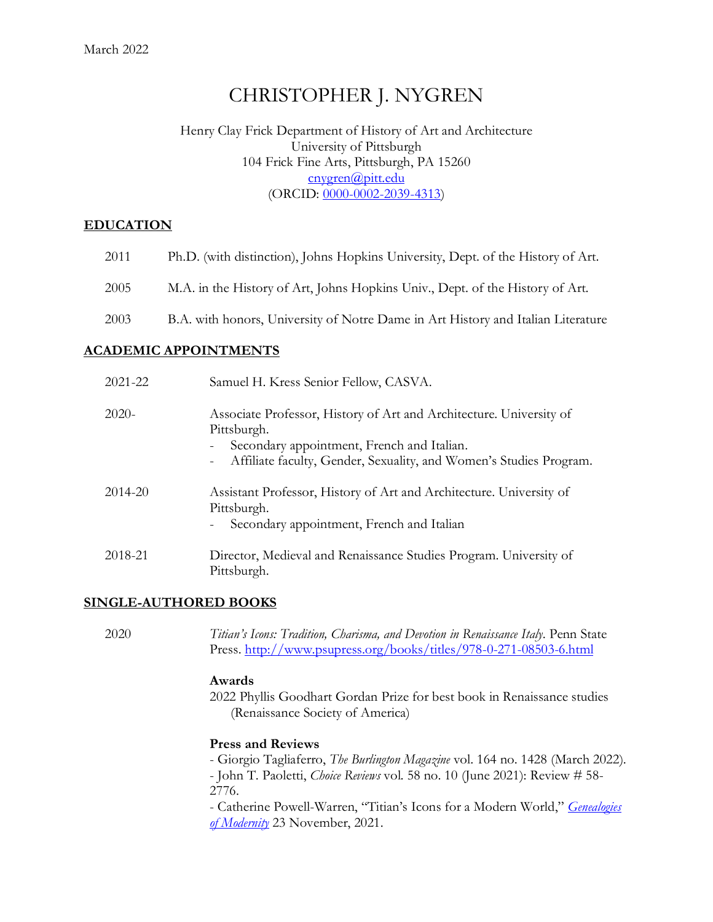# CHRISTOPHER J. NYGREN

#### Henry Clay Frick Department of History of Art and Architecture University of Pittsburgh 104 Frick Fine Arts, Pittsburgh, PA 15260 [cnygren@pitt.edu](mailto:cnygren@pitt.edu) (ORCID: [0000-0002-2039-4313\)](http://orcid.org/0000-0002-2039-4313)

#### **EDUCATION**

| 2011 | Ph.D. (with distinction), Johns Hopkins University, Dept. of the History of Art. |
|------|----------------------------------------------------------------------------------|
| 2005 | M.A. in the History of Art, Johns Hopkins Univ., Dept. of the History of Art.    |

## 2003 B.A. with honors, University of Notre Dame in Art History and Italian Literature

#### **ACADEMIC APPOINTMENTS**

| 2021-22 | Samuel H. Kress Senior Fellow, CASVA.                                                                                                                                                                                                                          |
|---------|----------------------------------------------------------------------------------------------------------------------------------------------------------------------------------------------------------------------------------------------------------------|
| $2020-$ | Associate Professor, History of Art and Architecture. University of<br>Pittsburgh.<br>Secondary appointment, French and Italian.<br>$\overline{\phantom{a}}$<br>Affiliate faculty, Gender, Sexuality, and Women's Studies Program.<br>$\overline{\phantom{a}}$ |
| 2014-20 | Assistant Professor, History of Art and Architecture. University of<br>Pittsburgh.<br>Secondary appointment, French and Italian<br>$\overline{\phantom{a}}$                                                                                                    |
| 2018-21 | Director, Medieval and Renaissance Studies Program. University of<br>Pittsburgh.                                                                                                                                                                               |

#### **SINGLE-AUTHORED BOOKS**

2020 *Titian's Icons: Tradition, Charisma, and Devotion in Renaissance Italy*. Penn State Press.<http://www.psupress.org/books/titles/978-0-271-08503-6.html>

#### **Awards**

2022 Phyllis Goodhart Gordan Prize for best book in Renaissance studies (Renaissance Society of America)

#### **Press and Reviews**

- Giorgio Tagliaferro, *The Burlington Magazine* vol. 164 no. 1428 (March 2022).

- John T. Paoletti, *Choice Reviews* vol. 58 no. 10 (June 2021): Review # 58- 2776.

- Catherine Powell-Warren, "Titian's Icons for a Modern World," *[Genealogies](https://genealogiesofmodernity.org/journal/2021/11/22/titians-icons-for-a-modern-world)  [of Modernity](https://genealogiesofmodernity.org/journal/2021/11/22/titians-icons-for-a-modern-world)* 23 November, 2021.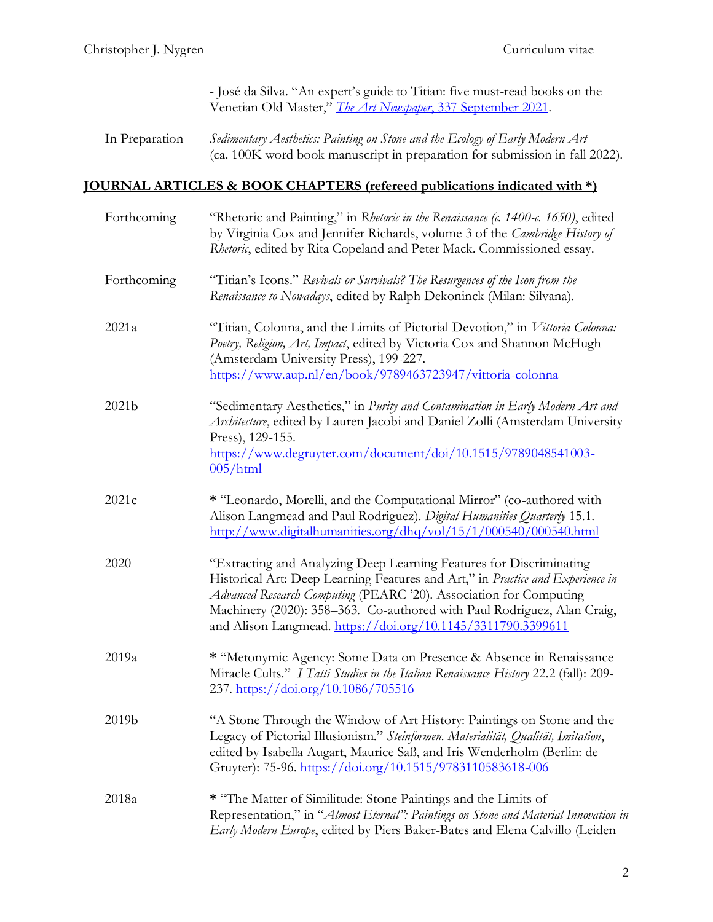- José da Silva. "An expert's guide to Titian: five must-read books on the Venetian Old Master," *The Art Newspaper*[, 337 September 2021.](https://www.theartnewspaper.com/blog/an-expert-s-guide-to-titian-five-must-read-books-on-the-venetian-old-master)

| In Preparation | Sedimentary Aesthetics: Painting on Stone and the Ecology of Early Modern Art |
|----------------|-------------------------------------------------------------------------------|
|                | (ca. 100K word book manuscript in preparation for submission in fall 2022).   |

# **JOURNAL ARTICLES & BOOK CHAPTERS (refereed publications indicated with \*)**

| Forthcoming | "Rhetoric and Painting," in Rhetoric in the Renaissance (c. 1400-c. 1650), edited<br>by Virginia Cox and Jennifer Richards, volume 3 of the Cambridge History of<br>Rhetoric, edited by Rita Copeland and Peter Mack. Commissioned essay.                                                                                                                              |  |  |
|-------------|------------------------------------------------------------------------------------------------------------------------------------------------------------------------------------------------------------------------------------------------------------------------------------------------------------------------------------------------------------------------|--|--|
| Forthcoming | "Titian's Icons." Revivals or Survivals? The Resurgences of the Icon from the<br>Renaissance to Nowadays, edited by Ralph Dekoninck (Milan: Silvana).                                                                                                                                                                                                                  |  |  |
| 2021a       | "Titian, Colonna, and the Limits of Pictorial Devotion," in Vittoria Colonna:<br>Poetry, Religion, Art, Impact, edited by Victoria Cox and Shannon McHugh<br>(Amsterdam University Press), 199-227.<br>https://www.aup.nl/en/book/9789463723947/vittoria-colonna                                                                                                       |  |  |
| 2021b       | "Sedimentary Aesthetics," in Purity and Contamination in Early Modern Art and<br>Architecture, edited by Lauren Jacobi and Daniel Zolli (Amsterdam University<br>Press), 129-155.<br>https://www.degruyter.com/document/doi/10.1515/9789048541003-<br>$005/\text{html}$                                                                                                |  |  |
| 2021c       | * "Leonardo, Morelli, and the Computational Mirror" (co-authored with<br>Alison Langmead and Paul Rodriguez). Digital Humanities Quarterly 15.1.<br>http://www.digitalhumanities.org/dhq/vol/15/1/000540/000540.html                                                                                                                                                   |  |  |
| 2020        | "Extracting and Analyzing Deep Learning Features for Discriminating<br>Historical Art: Deep Learning Features and Art," in Practice and Experience in<br>Advanced Research Computing (PEARC '20). Association for Computing<br>Machinery (2020): 358-363. Co-authored with Paul Rodriguez, Alan Craig,<br>and Alison Langmead. https://doi.org/10.1145/3311790.3399611 |  |  |
| 2019a       | * "Metonymic Agency: Some Data on Presence & Absence in Renaissance<br>Miracle Cults." I Tatti Studies in the Italian Renaissance History 22.2 (fall): 209-<br>237. https://doi.org/10.1086/705516                                                                                                                                                                     |  |  |
| 2019b       | "A Stone Through the Window of Art History: Paintings on Stone and the<br>Legacy of Pictorial Illusionism." Steinformen. Materialität, Qualität, Imitation,<br>edited by Isabella Augart, Maurice Saß, and Iris Wenderholm (Berlin: de<br>Gruyter): 75-96. https://doi.org/10.1515/9783110583618-006                                                                   |  |  |
| 2018a       | * "The Matter of Similitude: Stone Paintings and the Limits of<br>Representation," in "Almost Eternal": Paintings on Stone and Material Innovation in<br>Early Modern Europe, edited by Piers Baker-Bates and Elena Calvillo (Leiden                                                                                                                                   |  |  |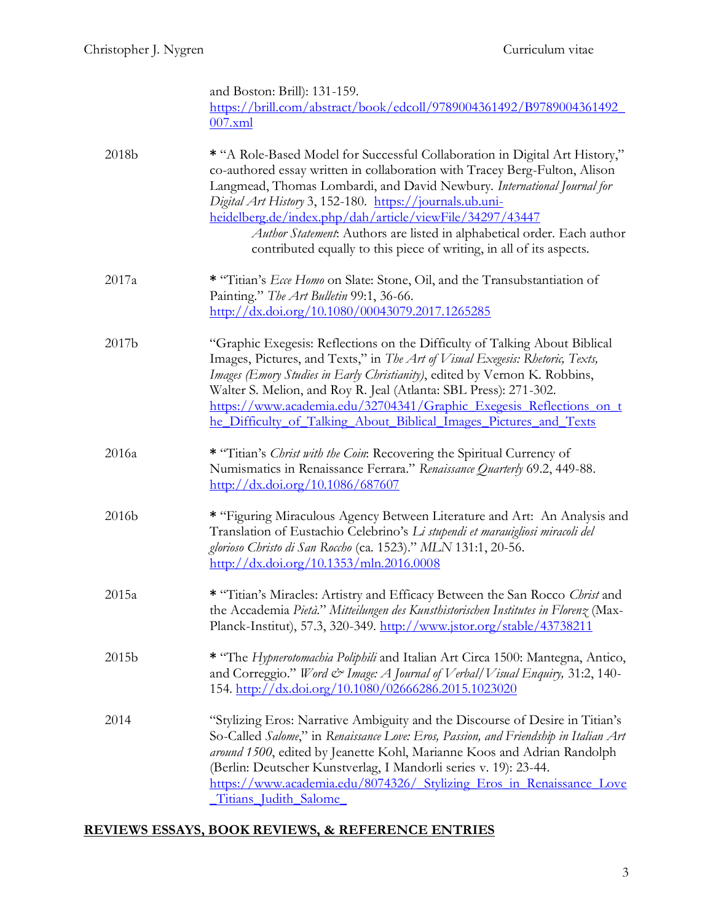|       | and Boston: Brill): 131-159.<br>https://brill.com/abstract/book/edcoll/9789004361492/B9789004361492                                                                                                                                                                                                                                                                                                                                                                                                             |
|-------|-----------------------------------------------------------------------------------------------------------------------------------------------------------------------------------------------------------------------------------------------------------------------------------------------------------------------------------------------------------------------------------------------------------------------------------------------------------------------------------------------------------------|
|       | $007$ .xml                                                                                                                                                                                                                                                                                                                                                                                                                                                                                                      |
| 2018b | * "A Role-Based Model for Successful Collaboration in Digital Art History,"<br>co-authored essay written in collaboration with Tracey Berg-Fulton, Alison<br>Langmead, Thomas Lombardi, and David Newbury. International Journal for<br>Digital Art History 3, 152-180. https://journals.ub.uni-<br>heidelberg.de/index.php/dah/article/viewFile/34297/43447<br>Author Statement: Authors are listed in alphabetical order. Each author<br>contributed equally to this piece of writing, in all of its aspects. |
| 2017a | * "Titian's <i>Ecce Homo</i> on Slate: Stone, Oil, and the Transubstantiation of<br>Painting." The Art Bulletin 99:1, 36-66.<br>http://dx.doi.org/10.1080/00043079.2017.1265285                                                                                                                                                                                                                                                                                                                                 |
| 2017b | "Graphic Exegesis: Reflections on the Difficulty of Talking About Biblical<br>Images, Pictures, and Texts," in The Art of Visual Exegesis: Rhetoric, Texts,<br>Images (Emory Studies in Early Christianity), edited by Vernon K. Robbins,<br>Walter S. Melion, and Roy R. Jeal (Atlanta: SBL Press): 271-302.<br>https://www.academia.edu/32704341/Graphic Exegesis Reflections on t<br>he Difficulty of Talking About Biblical Images Pictures and Texts                                                       |
| 2016a | * "Titian's Christ with the Coin: Recovering the Spiritual Currency of<br>Numismatics in Renaissance Ferrara." Renaissance Quarterly 69.2, 449-88.<br>$\frac{\text{http://dx.doi.org/10.1086/687607}}{2}$                                                                                                                                                                                                                                                                                                       |
| 2016b | * "Figuring Miraculous Agency Between Literature and Art: An Analysis and<br>Translation of Eustachio Celebrino's Li stupendi et marauigliosi miracoli del<br>glorioso Christo di San Roccho (ca. 1523)." MLN 131:1, 20-56.<br>$\frac{\text{http://dx.doi.org/10.1353/mln.2016.0008}}{2}$                                                                                                                                                                                                                       |
| 2015a | * "Titian's Miracles: Artistry and Efficacy Between the San Rocco Christ and<br>the Accademia Pietà." Mitteilungen des Kunsthistorischen Institutes in Florenz (Max-<br>Planck-Institut), 57.3, 320-349. http://www.jstor.org/stable/43738211                                                                                                                                                                                                                                                                   |
| 2015b | * "The Hypnerotomachia Poliphili and Italian Art Circa 1500: Mantegna, Antico,<br>and Correggio." Word & Image: A Journal of Verbal/Visual Enquiry, 31:2, 140-<br>154. http://dx.doi.org/10.1080/02666286.2015.1023020                                                                                                                                                                                                                                                                                          |
| 2014  | "Stylizing Eros: Narrative Ambiguity and the Discourse of Desire in Titian's<br>So-Called Salome," in Renaissance Love: Eros, Passion, and Friendship in Italian Art<br>around 1500, edited by Jeanette Kohl, Marianne Koos and Adrian Randolph<br>(Berlin: Deutscher Kunstverlag, I Mandorli series v. 19): 23-44.<br>https://www.academia.edu/8074326/ Stylizing Eros in Renaissance Love<br>Titians Judith Salome                                                                                            |

# **REVIEWS ESSAYS, BOOK REVIEWS, & REFERENCE ENTRIES**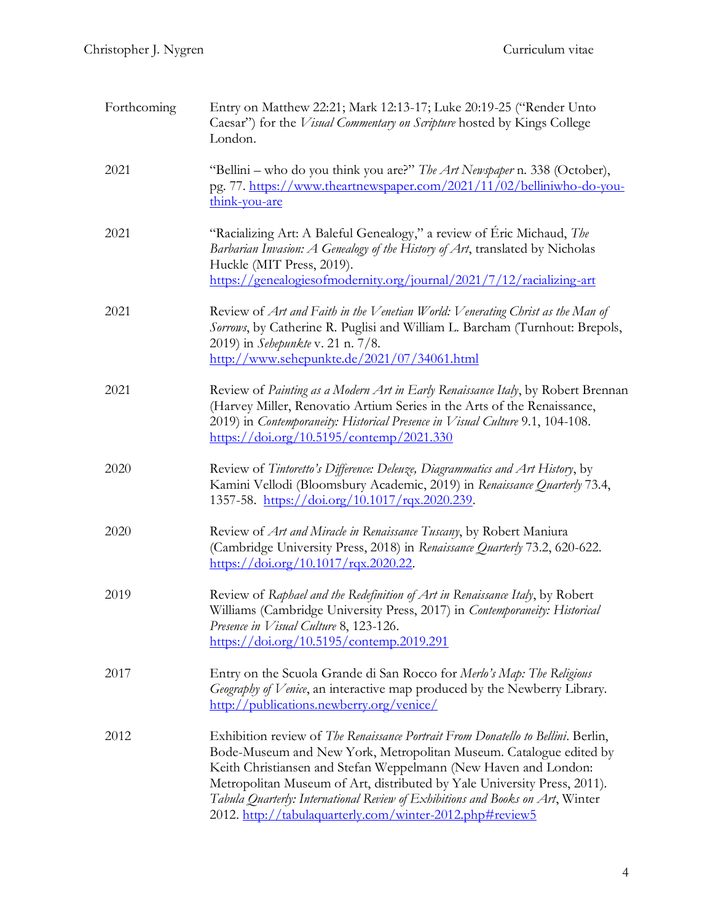| Forthcoming | Entry on Matthew 22:21; Mark 12:13-17; Luke 20:19-25 ("Render Unto<br>Caesar") for the <i>Visual Commentary on Scripture</i> hosted by Kings College<br>London.                                                                                                                                                                                                                                                                                     |  |  |
|-------------|-----------------------------------------------------------------------------------------------------------------------------------------------------------------------------------------------------------------------------------------------------------------------------------------------------------------------------------------------------------------------------------------------------------------------------------------------------|--|--|
| 2021        | "Bellini – who do you think you are?" The Art Newspaper n. 338 (October),<br>pg. 77. https://www.theartnewspaper.com/2021/11/02/belliniwho-do-you-<br>think-you-are                                                                                                                                                                                                                                                                                 |  |  |
| 2021        | "Racializing Art: A Baleful Genealogy," a review of Éric Michaud, The<br>Barbarian Invasion: A Genealogy of the History of Art, translated by Nicholas<br>Huckle (MIT Press, 2019).<br>https://genealogiesofmodernity.org/journal/2021/7/12/racializing-art                                                                                                                                                                                         |  |  |
| 2021        | Review of Art and Faith in the Venetian World: Venerating Christ as the Man of<br>Sorrows, by Catherine R. Puglisi and William L. Barcham (Turnhout: Brepols,<br>2019) in Sehepunkte v. 21 n. 7/8.<br>http://www.sehepunkte.de/2021/07/34061.html                                                                                                                                                                                                   |  |  |
| 2021        | Review of Painting as a Modern Art in Early Renaissance Italy, by Robert Brennan<br>(Harvey Miller, Renovatio Artium Series in the Arts of the Renaissance,<br>2019) in Contemporaneity: Historical Presence in Visual Culture 9.1, 104-108.<br>https://doi.org/10.5195/contemp/2021.330                                                                                                                                                            |  |  |
| 2020        | Review of Tintoretto's Difference: Delenze, Diagrammatics and Art History, by<br>Kamini Vellodi (Bloomsbury Academic, 2019) in Renaissance Quarterly 73.4,<br>1357-58. https://doi.org/10.1017/rqx.2020.239.                                                                                                                                                                                                                                        |  |  |
| 2020        | Review of Art and Miracle in Renaissance Tuscany, by Robert Maniura<br>(Cambridge University Press, 2018) in Renaissance Quarterly 73.2, 620-622.<br>$\frac{\text{https://doi.org/10.1017/rgx.2020.22.}}{\text{https://doi.org/10.1017/rgx.2020.22.}}$                                                                                                                                                                                              |  |  |
| 2019        | Review of Raphael and the Redefinition of Art in Renaissance Italy, by Robert<br>Williams (Cambridge University Press, 2017) in Contemporaneity: Historical<br>Presence in Visual Culture 8, 123-126.<br>$\frac{\text{https://doi.org/10.5195/contemp.2019.291}}{2}$                                                                                                                                                                                |  |  |
| 2017        | Entry on the Scuola Grande di San Rocco for Merlo's Map: The Religious<br>Geography of Venice, an interactive map produced by the Newberry Library.<br>http://publications.newberry.org/venice/                                                                                                                                                                                                                                                     |  |  |
| 2012        | Exhibition review of The Renaissance Portrait From Donatello to Bellini. Berlin,<br>Bode-Museum and New York, Metropolitan Museum. Catalogue edited by<br>Keith Christiansen and Stefan Weppelmann (New Haven and London:<br>Metropolitan Museum of Art, distributed by Yale University Press, 2011).<br>Tabula Quarterly: International Review of Exhibitions and Books on Art, Winter<br>2012. http://tabulaquarterly.com/winter-2012.php#review5 |  |  |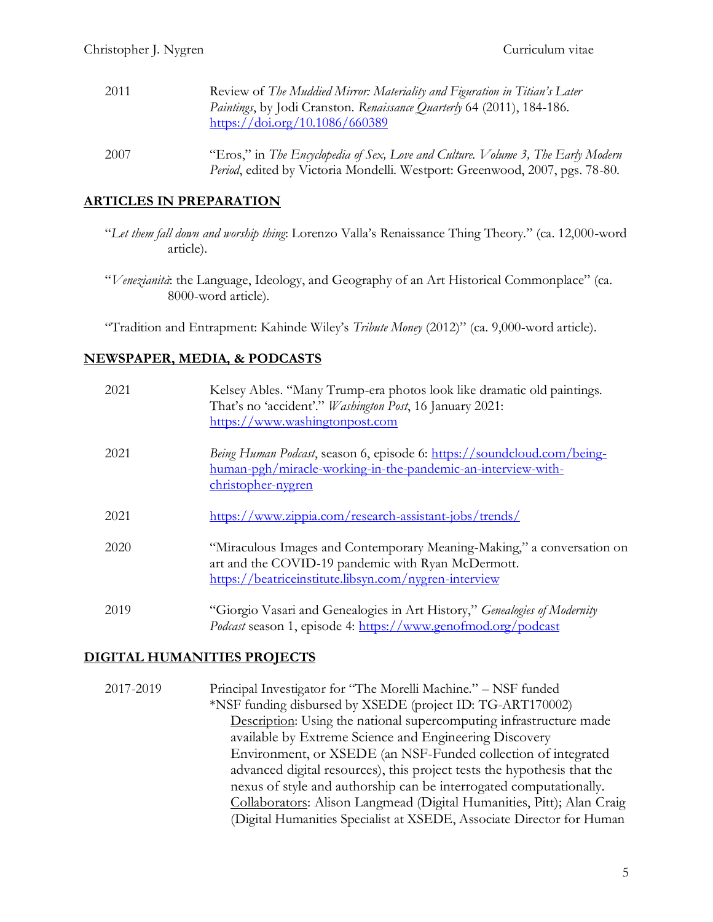| 2011 | Review of The Muddied Mirror: Materiality and Figuration in Titian's Later<br>Paintings, by Jodi Cranston. Renaissance Quarterly 64 (2011), 184-186.<br>https://doi.org/10.1086/660389 |
|------|----------------------------------------------------------------------------------------------------------------------------------------------------------------------------------------|
| 2007 | "Eros," in The Encyclopedia of Sex, Love and Culture. Volume 3, The Early Modern<br>Period, edited by Victoria Mondelli. Westport: Greenwood, 2007, pgs. 78-80.                        |

# **ARTICLES IN PREPARATION**

- "*Let them fall down and worship thing*: Lorenzo Valla's Renaissance Thing Theory." (ca. 12,000-word article).
- "*Venezianità*: the Language, Ideology, and Geography of an Art Historical Commonplace" (ca. 8000-word article).

"Tradition and Entrapment: Kahinde Wiley's *Tribute Money* (2012)" (ca. 9,000-word article).

# **NEWSPAPER, MEDIA, & PODCASTS**

| 2021 | Kelsey Ables. "Many Trump-era photos look like dramatic old paintings.<br>That's no 'accident'." Washington Post, 16 January 2021:<br>https://www.washingtonpost.com                  |
|------|---------------------------------------------------------------------------------------------------------------------------------------------------------------------------------------|
| 2021 | <i>Being Human Podcast</i> , season 6, episode 6: https://soundcloud.com/being-<br>human-pgh/miracle-working-in-the-pandemic-an-interview-with-<br>christopher-nygren                 |
| 2021 | https://www.zippia.com/research-assistant-jobs/trends/                                                                                                                                |
| 2020 | "Miraculous Images and Contemporary Meaning-Making," a conversation on<br>art and the COVID-19 pandemic with Ryan McDermott.<br>https://beatriceinstitute.libsyn.com/nygren-interview |
| 2019 | "Giorgio Vasari and Genealogies in Art History," Genealogies of Modernity<br><i>Podcast</i> season 1, episode 4: https://www.genofmod.org/podcast                                     |

# **DIGITAL HUMANITIES PROJECTS**

2017-2019 Principal Investigator for "The Morelli Machine." – NSF funded \*NSF funding disbursed by XSEDE (project ID: TG-ART170002) Description: Using the national supercomputing infrastructure made available by Extreme Science and Engineering Discovery Environment, or XSEDE (an NSF-Funded collection of integrated advanced digital resources), this project tests the hypothesis that the nexus of style and authorship can be interrogated computationally. Collaborators: Alison Langmead (Digital Humanities, Pitt); Alan Craig (Digital Humanities Specialist at XSEDE, Associate Director for Human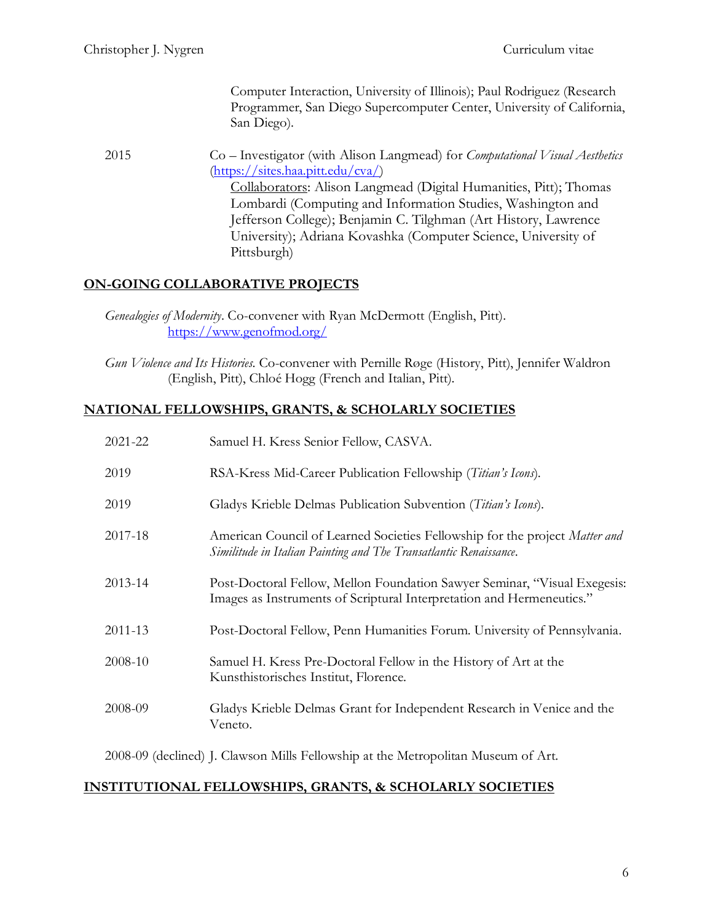Computer Interaction, University of Illinois); Paul Rodriguez (Research Programmer, San Diego Supercomputer Center, University of California, San Diego).

2015 Co – Investigator (with Alison Langmead) for *Computational Visual Aesthetics* [\(https://sites.haa.pitt.edu/cva/\)](https://sites.haa.pitt.edu/cva/) Collaborators: Alison Langmead (Digital Humanities, Pitt); Thomas Lombardi (Computing and Information Studies, Washington and Jefferson College); Benjamin C. Tilghman (Art History, Lawrence University); Adriana Kovashka (Computer Science, University of Pittsburgh)

# **ON-GOING COLLABORATIVE PROJECTS**

*Genealogies of Modernity*. Co-convener with Ryan McDermott (English, Pitt). <https://www.genofmod.org/>

*Gun Violence and Its Histories*. Co-convener with Pernille Røge (History, Pitt), Jennifer Waldron (English, Pitt), Chloé Hogg (French and Italian, Pitt).

# **NATIONAL FELLOWSHIPS, GRANTS, & SCHOLARLY SOCIETIES**

| 2021-22 | Samuel H. Kress Senior Fellow, CASVA.                                                                                                              |
|---------|----------------------------------------------------------------------------------------------------------------------------------------------------|
| 2019    | RSA-Kress Mid-Career Publication Fellowship (Titian's Icons).                                                                                      |
| 2019    | Gladys Krieble Delmas Publication Subvention (Titian's Icons).                                                                                     |
| 2017-18 | American Council of Learned Societies Fellowship for the project Matter and<br>Similitude in Italian Painting and The Transatlantic Renaissance.   |
| 2013-14 | Post-Doctoral Fellow, Mellon Foundation Sawyer Seminar, "Visual Exegesis:<br>Images as Instruments of Scriptural Interpretation and Hermeneutics." |
| 2011-13 | Post-Doctoral Fellow, Penn Humanities Forum. University of Pennsylvania.                                                                           |
| 2008-10 | Samuel H. Kress Pre-Doctoral Fellow in the History of Art at the<br>Kunsthistorisches Institut, Florence.                                          |
| 2008-09 | Gladys Krieble Delmas Grant for Independent Research in Venice and the<br>Veneto.                                                                  |

2008-09 (declined) J. Clawson Mills Fellowship at the Metropolitan Museum of Art.

#### **INSTITUTIONAL FELLOWSHIPS, GRANTS, & SCHOLARLY SOCIETIES**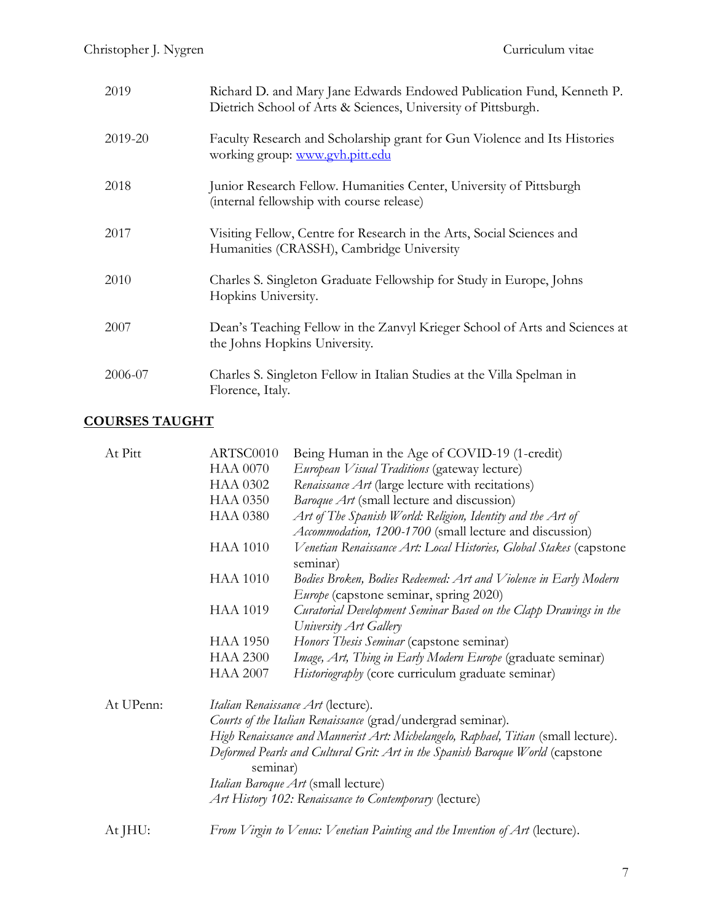| 2019    | Richard D. and Mary Jane Edwards Endowed Publication Fund, Kenneth P.<br>Dietrich School of Arts & Sciences, University of Pittsburgh. |
|---------|----------------------------------------------------------------------------------------------------------------------------------------|
| 2019-20 | Faculty Research and Scholarship grant for Gun Violence and Its Histories<br>working group: www.gyh.pitt.edu                           |
| 2018    | Junior Research Fellow. Humanities Center, University of Pittsburgh<br>(internal fellowship with course release)                       |
| 2017    | Visiting Fellow, Centre for Research in the Arts, Social Sciences and<br>Humanities (CRASSH), Cambridge University                     |
| 2010    | Charles S. Singleton Graduate Fellowship for Study in Europe, Johns<br>Hopkins University.                                             |
| 2007    | Dean's Teaching Fellow in the Zanvyl Krieger School of Arts and Sciences at<br>the Johns Hopkins University.                           |
| 2006-07 | Charles S. Singleton Fellow in Italian Studies at the Villa Spelman in<br>Florence, Italy.                                             |

# **COURSES TAUGHT**

| At Pitt   | ARTSC0010                                                                          | Being Human in the Age of COVID-19 (1-credit)                                  |  |
|-----------|------------------------------------------------------------------------------------|--------------------------------------------------------------------------------|--|
|           | <b>HAA 0070</b>                                                                    | European Visual Traditions (gateway lecture)                                   |  |
|           | <b>HAA 0302</b>                                                                    | Renaissance Art (large lecture with recitations)                               |  |
|           | <b>HAA 0350</b>                                                                    | Baroque Art (small lecture and discussion)                                     |  |
|           | <b>HAA 0380</b>                                                                    | Art of The Spanish World: Religion, Identity and the Art of                    |  |
|           |                                                                                    | Accommodation, 1200-1700 (small lecture and discussion)                        |  |
|           | <b>HAA 1010</b>                                                                    | Venetian Renaissance Art: Local Histories, Global Stakes (capstone<br>seminar) |  |
|           | <b>HAA 1010</b>                                                                    | Bodies Broken, Bodies Redeemed: Art and Violence in Early Modern               |  |
|           |                                                                                    | <i>Europe</i> (capstone seminar, spring 2020)                                  |  |
|           | <b>HAA 1019</b>                                                                    | Curatorial Development Seminar Based on the Clapp Drawings in the              |  |
|           |                                                                                    | University Art Gallery                                                         |  |
|           | <b>HAA 1950</b>                                                                    | Honors Thesis Seminar (capstone seminar)                                       |  |
|           | <b>HAA 2300</b>                                                                    | Image, Art, Thing in Early Modern Europe (graduate seminar)                    |  |
|           | <b>HAA 2007</b>                                                                    | Historiography (core curriculum graduate seminar)                              |  |
| At UPenn: |                                                                                    | Italian Renaissance Art (lecture).                                             |  |
|           | Courts of the Italian Renaissance (grad/undergrad seminar).                        |                                                                                |  |
|           | High Renaissance and Mannerist Art: Michelangelo, Raphael, Titian (small lecture). |                                                                                |  |
|           | Deformed Pearls and Cultural Grit: Art in the Spanish Baroque World (capstone      |                                                                                |  |
|           | seminar)                                                                           |                                                                                |  |
|           | <i>Italian Baroque Art</i> (small lecture)                                         |                                                                                |  |
|           | Art History 102: Renaissance to Contemporary (lecture)                             |                                                                                |  |
|           |                                                                                    |                                                                                |  |
| At JHU:   |                                                                                    | From Virgin to Venus: Venetian Painting and the Invention of Art (lecture).    |  |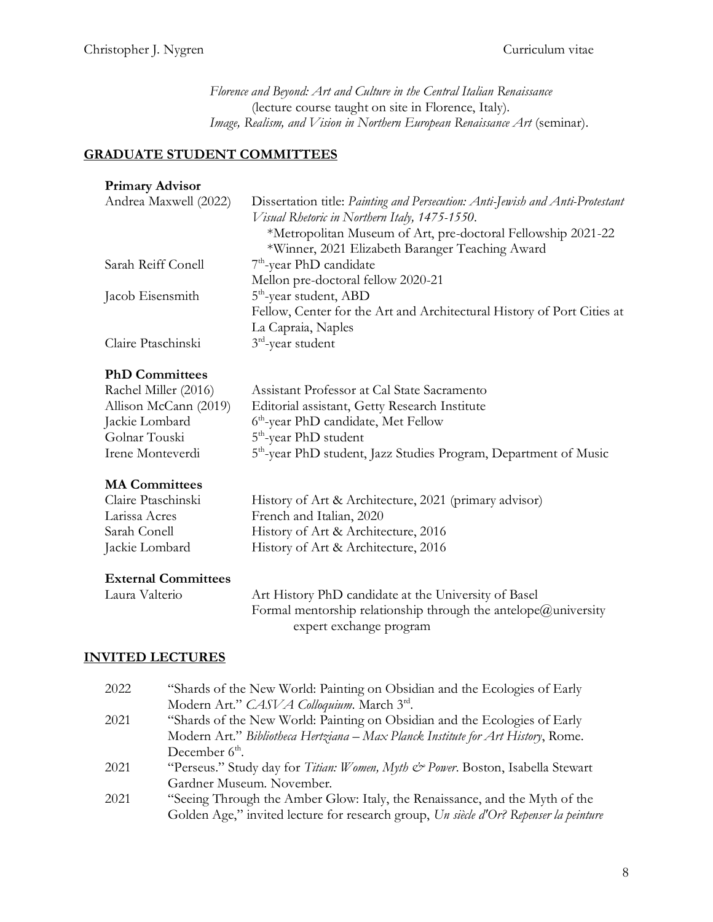*Florence and Beyond: Art and Culture in the Central Italian Renaissance* (lecture course taught on site in Florence, Italy). *Image, Realism, and Vision in Northern European Renaissance Art* (seminar).

# **GRADUATE STUDENT COMMITTEES**

#### **Primary Advisor**

| Andrea Maxwell (2022) | Dissertation title: Painting and Persecution: Anti-Jewish and Anti-Protestant |
|-----------------------|-------------------------------------------------------------------------------|
|                       | Visual Rhetoric in Northern Italy, 1475-1550.                                 |
|                       | *Metropolitan Museum of Art, pre-doctoral Fellowship 2021-22                  |
|                       | *Winner, 2021 Elizabeth Baranger Teaching Award                               |
| Sarah Reiff Conell    | $7th$ -year PhD candidate                                                     |
|                       | Mellon pre-doctoral fellow 2020-21                                            |
| Jacob Eisensmith      | $5th$ -year student, ABD                                                      |
|                       | Fellow, Center for the Art and Architectural History of Port Cities at        |
|                       | La Capraia, Naples                                                            |
| Claire Ptaschinski    | $3rd$ -year student                                                           |
|                       |                                                                               |

#### **PhD Committees**

| Assistant Professor at Cal State Sacramento                                  |
|------------------------------------------------------------------------------|
| Editorial assistant, Getty Research Institute                                |
| 6 <sup>th</sup> -year PhD candidate, Met Fellow                              |
| $5th$ -year PhD student                                                      |
| 5 <sup>th</sup> -year PhD student, Jazz Studies Program, Department of Music |
|                                                                              |

## **MA Committees**

| Claire Ptaschinski | History of Art & Architecture, 2021 (primary advisor) |
|--------------------|-------------------------------------------------------|
| Larissa Acres      | French and Italian, 2020                              |
| Sarah Conell       | History of Art & Architecture, 2016                   |
| Jackie Lombard     | History of Art & Architecture, 2016                   |

## **External Committees**

| Laura Valterio | Art History PhD candidate at the University of Basel           |
|----------------|----------------------------------------------------------------|
|                | Formal mentorship relationship through the antelope@university |
|                | expert exchange program                                        |

## **INVITED LECTURES**

| 2022 | "Shards of the New World: Painting on Obsidian and the Ecologies of Early             |
|------|---------------------------------------------------------------------------------------|
|      | Modern Art." CASVA Colloquium. March 3rd.                                             |
| 2021 | "Shards of the New World: Painting on Obsidian and the Ecologies of Early             |
|      | Modern Art." Bibliotheca Hertziana – Max Planck Institute for Art History, Rome.      |
|      | December $6th$ .                                                                      |
| 2021 | "Perseus." Study day for Titian: Women, Myth & Power. Boston, Isabella Stewart        |
|      | Gardner Museum. November.                                                             |
| 2021 | "Seeing Through the Amber Glow: Italy, the Renaissance, and the Myth of the           |
|      | Golden Age," invited lecture for research group, Un siècle d'Or? Repenser la peinture |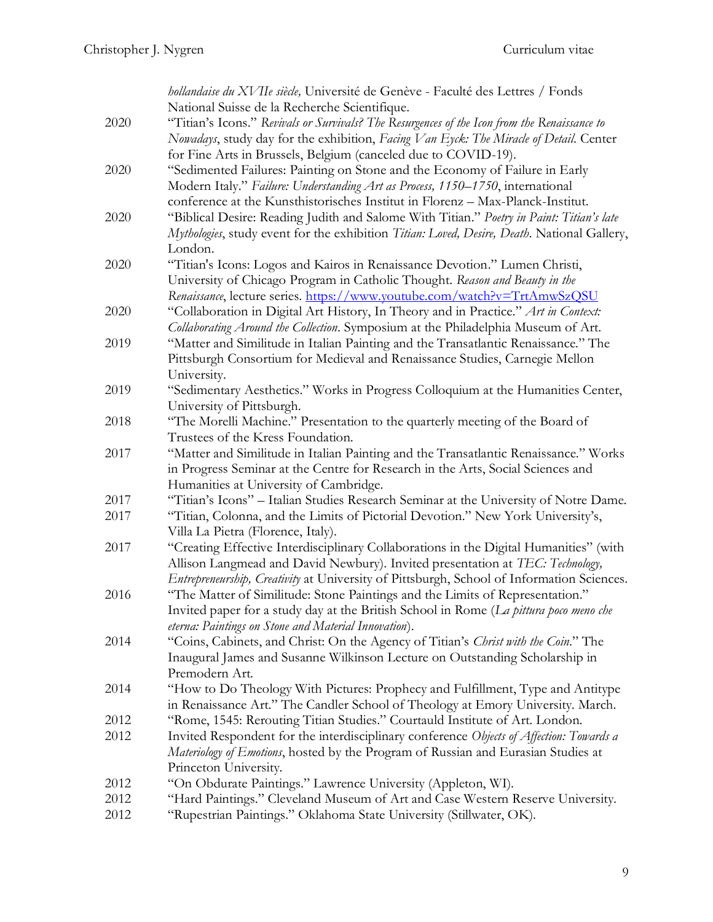|      | hollandaise du XVIIe siècle, Université de Genève - Faculté des Lettres / Fonds              |
|------|----------------------------------------------------------------------------------------------|
|      | National Suisse de la Recherche Scientifique.                                                |
| 2020 | "Titian's Icons." Revivals or Survivals? The Resurgences of the Icon from the Renaissance to |
|      | Nowadays, study day for the exhibition, Facing Van Eyck: The Miracle of Detail. Center       |
|      | for Fine Arts in Brussels, Belgium (canceled due to COVID-19).                               |
| 2020 | "Sedimented Failures: Painting on Stone and the Economy of Failure in Early                  |
|      | Modern Italy." Failure: Understanding Art as Process, 1150-1750, international               |
|      | conference at the Kunsthistorisches Institut in Florenz - Max-Planck-Institut.               |
| 2020 | "Biblical Desire: Reading Judith and Salome With Titian." Poetry in Paint: Titian's late     |
|      | Mythologies, study event for the exhibition Titian: Loved, Desire, Death. National Gallery,  |
|      | London.                                                                                      |
| 2020 | "Titian's Icons: Logos and Kairos in Renaissance Devotion." Lumen Christi,                   |
|      | University of Chicago Program in Catholic Thought. Reason and Beauty in the                  |
|      | Renaissance, lecture series. https://www.youtube.com/watch?v=TrtAmwSzQSU                     |
| 2020 | "Collaboration in Digital Art History, In Theory and in Practice." Art in Context:           |
|      | Collaborating Around the Collection. Symposium at the Philadelphia Museum of Art.            |
| 2019 | "Matter and Similitude in Italian Painting and the Transatlantic Renaissance." The           |
|      | Pittsburgh Consortium for Medieval and Renaissance Studies, Carnegie Mellon                  |
|      | University.                                                                                  |
| 2019 | "Sedimentary Aesthetics." Works in Progress Colloquium at the Humanities Center,             |
|      | University of Pittsburgh.                                                                    |
| 2018 | "The Morelli Machine." Presentation to the quarterly meeting of the Board of                 |
|      | Trustees of the Kress Foundation.                                                            |
| 2017 | "Matter and Similitude in Italian Painting and the Transatlantic Renaissance." Works         |
|      | in Progress Seminar at the Centre for Research in the Arts, Social Sciences and              |
|      | Humanities at University of Cambridge.                                                       |
| 2017 | "Titian's Icons" - Italian Studies Research Seminar at the University of Notre Dame.         |
| 2017 | "Titian, Colonna, and the Limits of Pictorial Devotion." New York University's,              |
|      | Villa La Pietra (Florence, Italy).                                                           |
| 2017 | "Creating Effective Interdisciplinary Collaborations in the Digital Humanities" (with        |
|      | Allison Langmead and David Newbury). Invited presentation at TEC: Technology,                |
|      | Entrepreneurship, Creativity at University of Pittsburgh, School of Information Sciences.    |
| 2016 | "The Matter of Similitude: Stone Paintings and the Limits of Representation."                |
|      | Invited paper for a study day at the British School in Rome (La pittura poco meno che        |
|      | eterna: Paintings on Stone and Material Innovation).                                         |
| 2014 | "Coins, Cabinets, and Christ: On the Agency of Titian's Christ with the Coin." The           |
|      | Inaugural James and Susanne Wilkinson Lecture on Outstanding Scholarship in                  |
|      | Premodern Art.                                                                               |
| 2014 | "How to Do Theology With Pictures: Prophecy and Fulfillment, Type and Antitype               |
|      | in Renaissance Art." The Candler School of Theology at Emory University. March.              |
| 2012 | "Rome, 1545: Rerouting Titian Studies." Courtauld Institute of Art. London.                  |
| 2012 | Invited Respondent for the interdisciplinary conference Objects of Affection: Towards a      |
|      | Materiology of Emotions, hosted by the Program of Russian and Eurasian Studies at            |
|      | Princeton University.                                                                        |
| 2012 | "On Obdurate Paintings." Lawrence University (Appleton, WI).                                 |
| 2012 | "Hard Paintings." Cleveland Museum of Art and Case Western Reserve University.               |
| 2012 | "Rupestrian Paintings." Oklahoma State University (Stillwater, OK).                          |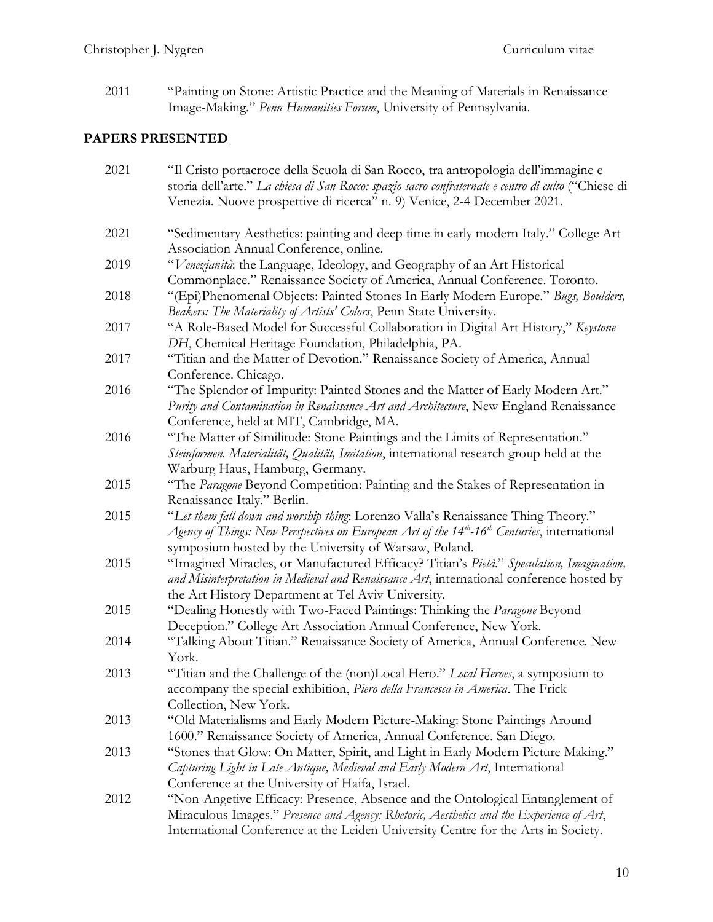2011 "Painting on Stone: Artistic Practice and the Meaning of Materials in Renaissance Image-Making." *Penn Humanities Forum*, University of Pennsylvania.

# **PAPERS PRESENTED**

| 2021 | "Il Cristo portacroce della Scuola di San Rocco, tra antropologia dell'immagine e<br>storia dell'arte." La chiesa di San Rocco: spazio sacro confraternale e centro di culto ("Chiese di<br>Venezia. Nuove prospettive di ricerca" n. 9) Venice, 2-4 December 2021. |
|------|---------------------------------------------------------------------------------------------------------------------------------------------------------------------------------------------------------------------------------------------------------------------|
| 2021 | "Sedimentary Aesthetics: painting and deep time in early modern Italy." College Art<br>Association Annual Conference, online.                                                                                                                                       |
| 2019 | "Venezianità: the Language, Ideology, and Geography of an Art Historical<br>Commonplace." Renaissance Society of America, Annual Conference. Toronto.                                                                                                               |
| 2018 | "(Epi)Phenomenal Objects: Painted Stones In Early Modern Europe." Bugs, Boulders,<br>Beakers: The Materiality of Artists' Colors, Penn State University.                                                                                                            |
| 2017 | "A Role-Based Model for Successful Collaboration in Digital Art History," Keystone<br>DH, Chemical Heritage Foundation, Philadelphia, PA.                                                                                                                           |
| 2017 | "Titian and the Matter of Devotion." Renaissance Society of America, Annual<br>Conference. Chicago.                                                                                                                                                                 |
| 2016 | "The Splendor of Impurity: Painted Stones and the Matter of Early Modern Art."<br>Purity and Contamination in Renaissance Art and Architecture, New England Renaissance<br>Conference, held at MIT, Cambridge, MA.                                                  |
| 2016 | "The Matter of Similitude: Stone Paintings and the Limits of Representation."<br>Steinformen. Materialität, Qualität, Imitation, international research group held at the<br>Warburg Haus, Hamburg, Germany.                                                        |
| 2015 | "The Paragone Beyond Competition: Painting and the Stakes of Representation in<br>Renaissance Italy." Berlin.                                                                                                                                                       |
| 2015 | "Let them fall down and worship thing: Lorenzo Valla's Renaissance Thing Theory."<br>Agency of Things: New Perspectives on European Art of the $14th$ -16 <sup>th</sup> Centuries, international<br>symposium hosted by the University of Warsaw, Poland.           |
| 2015 | "Imagined Miracles, or Manufactured Efficacy? Titian's Pietà." Speculation, Imagination,<br>and Misinterpretation in Medieval and Renaissance Art, international conference hosted by<br>the Art History Department at Tel Aviv University.                         |
| 2015 | "Dealing Honestly with Two-Faced Paintings: Thinking the Paragone Beyond<br>Deception." College Art Association Annual Conference, New York.                                                                                                                        |
| 2014 | "Talking About Titian." Renaissance Society of America, Annual Conference. New<br>York.                                                                                                                                                                             |
| 2013 | "Titian and the Challenge of the (non)Local Hero." Local Heroes, a symposium to<br>accompany the special exhibition, Piero della Francesca in America. The Frick<br>Collection, New York.                                                                           |
| 2013 | "Old Materialisms and Early Modern Picture-Making: Stone Paintings Around<br>1600." Renaissance Society of America, Annual Conference. San Diego.                                                                                                                   |
| 2013 | "Stones that Glow: On Matter, Spirit, and Light in Early Modern Picture Making."<br>Capturing Light in Late Antique, Medieval and Early Modern Art, International<br>Conference at the University of Haifa, Israel.                                                 |
| 2012 | "Non-Angetive Efficacy: Presence, Absence and the Ontological Entanglement of<br>Miraculous Images." Presence and Agency: Rhetoric, Aesthetics and the Experience of Art,<br>International Conference at the Leiden University Centre for the Arts in Society.      |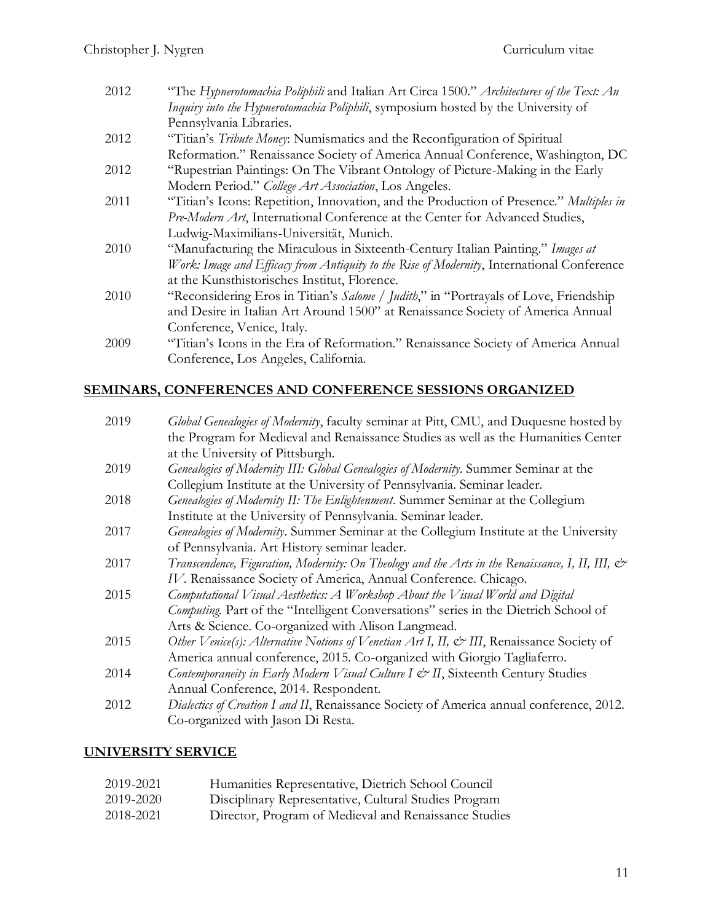| 2012 | "The Hypnerotomachia Poliphili and Italian Art Circa 1500." Architectures of the Text: An  |
|------|--------------------------------------------------------------------------------------------|
|      | Inquiry into the Hypnerotomachia Poliphili, symposium hosted by the University of          |
|      | Pennsylvania Libraries.                                                                    |
| 2012 | "Titian's Tribute Money: Numismatics and the Reconfiguration of Spiritual                  |
|      | Reformation." Renaissance Society of America Annual Conference, Washington, DC             |
| 2012 | "Rupestrian Paintings: On The Vibrant Ontology of Picture-Making in the Early              |
|      | Modern Period." College Art Association, Los Angeles.                                      |
| 2011 | "Titian's Icons: Repetition, Innovation, and the Production of Presence." Multiples in     |
|      | Pre-Modern Art, International Conference at the Center for Advanced Studies,               |
|      | Ludwig-Maximilians-Universität, Munich.                                                    |
| 2010 | "Manufacturing the Miraculous in Sixteenth-Century Italian Painting." Images at            |
|      | Work: Image and Efficacy from Antiquity to the Rise of Modernity, International Conference |
|      | at the Kunsthistorisches Institut, Florence.                                               |
| 2010 | "Reconsidering Eros in Titian's Salome / Judith," in "Portrayals of Love, Friendship       |
|      | and Desire in Italian Art Around 1500" at Renaissance Society of America Annual            |
|      | Conference, Venice, Italy.                                                                 |
| 2009 | "Titian's Icons in the Era of Reformation." Renaissance Society of America Annual          |

# **SEMINARS, CONFERENCES AND CONFERENCE SESSIONS ORGANIZED**

Conference, Los Angeles, California.

| 2019 | Global Genealogies of Modernity, faculty seminar at Pitt, CMU, and Duquesne hosted by                          |
|------|----------------------------------------------------------------------------------------------------------------|
|      | the Program for Medieval and Renaissance Studies as well as the Humanities Center                              |
|      | at the University of Pittsburgh.                                                                               |
| 2019 | Genealogies of Modernity III: Global Genealogies of Modernity. Summer Seminar at the                           |
|      | Collegium Institute at the University of Pennsylvania. Seminar leader.                                         |
| 2018 | Genealogies of Modernity II: The Enlightenment. Summer Seminar at the Collegium                                |
|      | Institute at the University of Pennsylvania. Seminar leader.                                                   |
| 2017 | Genealogies of Modernity. Summer Seminar at the Collegium Institute at the University                          |
|      | of Pennsylvania. Art History seminar leader.                                                                   |
| 2017 | Transcendence, Figuration, Modernity: On Theology and the Arts in the Renaissance, I, II, III, $\mathcal{C}^*$ |
|      | IV. Renaissance Society of America, Annual Conference. Chicago.                                                |
| 2015 | Computational Visual Aesthetics: A Workshop About the Visual World and Digital                                 |
|      | Computing. Part of the "Intelligent Conversations" series in the Dietrich School of                            |
|      | Arts & Science. Co-organized with Alison Langmead.                                                             |
| 2015 | Other Venice(s): Alternative Notions of Venetian Art I, II, & III, Renaissance Society of                      |
|      | America annual conference, 2015. Co-organized with Giorgio Tagliaferro.                                        |
| 2014 | Contemporaneity in Early Modern Visual Culture I & II, Sixteenth Century Studies                               |
|      | Annual Conference, 2014. Respondent.                                                                           |
| 2012 | Dialectics of Creation I and II, Renaissance Society of America annual conference, 2012.                       |
|      | Co-organized with Jason Di Resta.                                                                              |

# **UNIVERSITY SERVICE**

| 2019-2021 | Humanities Representative, Dietrich School Council    |
|-----------|-------------------------------------------------------|
| 2019-2020 | Disciplinary Representative, Cultural Studies Program |
| 2018-2021 | Director, Program of Medieval and Renaissance Studies |